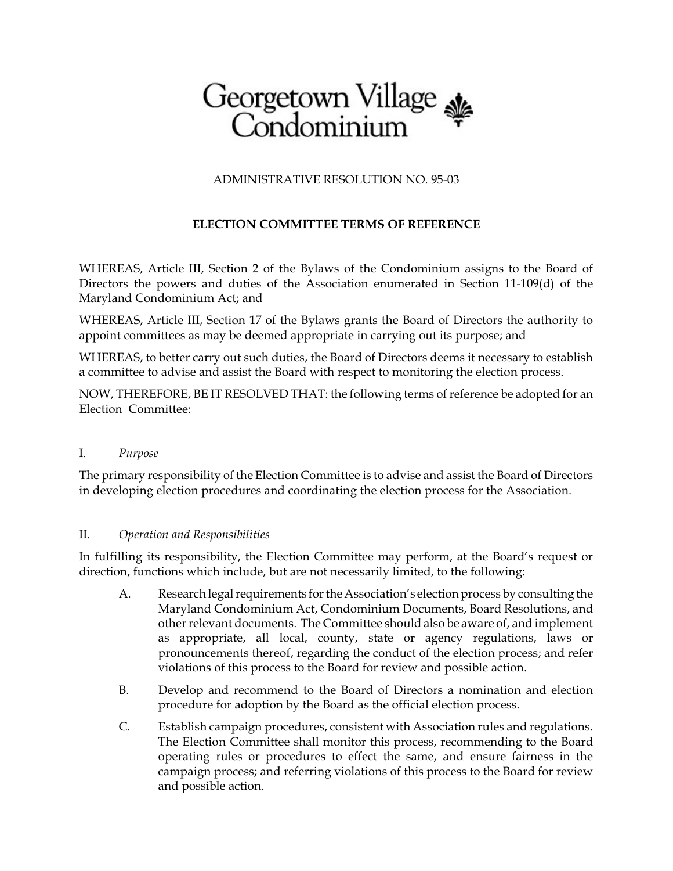# Georgetown Village

## ADMINISTRATIVE RESOLUTION NO. 95-03

# **ELECTION COMMITTEE TERMS OF REFERENCE**

WHEREAS, Article III, Section 2 of the Bylaws of the Condominium assigns to the Board of Directors the powers and duties of the Association enumerated in Section 11-109(d) of the Maryland Condominium Act; and

WHEREAS, Article III, Section 17 of the Bylaws grants the Board of Directors the authority to appoint committees as may be deemed appropriate in carrying out its purpose; and

WHEREAS, to better carry out such duties, the Board of Directors deems it necessary to establish a committee to advise and assist the Board with respect to monitoring the election process.

NOW, THEREFORE, BE IT RESOLVED THAT: the following terms of reference be adopted for an Election Committee:

#### I. *Purpose*

The primary responsibility of the Election Committee is to advise and assist the Board of Directors in developing election procedures and coordinating the election process for the Association.

### II. *Operation and Responsibilities*

In fulfilling its responsibility, the Election Committee may perform, at the Board's request or direction, functions which include, but are not necessarily limited, to the following:

- A. Research legal requirements for the Association's election process by consulting the Maryland Condominium Act, Condominium Documents, Board Resolutions, and other relevant documents. The Committee should also be aware of, and implement as appropriate, all local, county, state or agency regulations, laws or pronouncements thereof, regarding the conduct of the election process; and refer violations of this process to the Board for review and possible action.
- B. Develop and recommend to the Board of Directors a nomination and election procedure for adoption by the Board as the official election process.
- C. Establish campaign procedures, consistent with Association rules and regulations. The Election Committee shall monitor this process, recommending to the Board operating rules or procedures to effect the same, and ensure fairness in the campaign process; and referring violations of this process to the Board for review and possible action.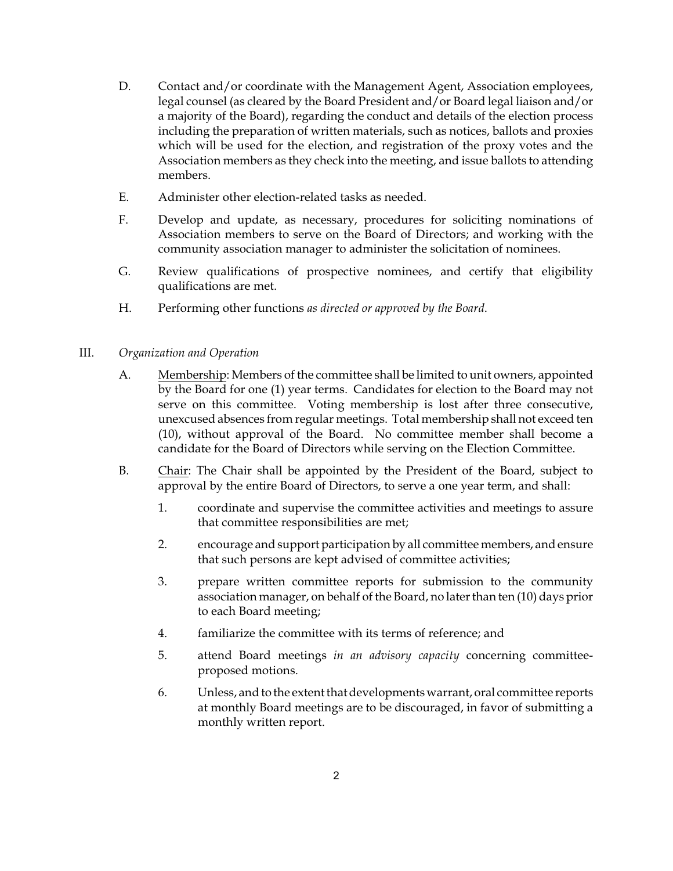- D. Contact and/or coordinate with the Management Agent, Association employees, legal counsel (as cleared by the Board President and/or Board legal liaison and/or a majority of the Board), regarding the conduct and details of the election process including the preparation of written materials, such as notices, ballots and proxies which will be used for the election, and registration of the proxy votes and the Association members as they check into the meeting, and issue ballots to attending members.
- E. Administer other election-related tasks as needed.
- F. Develop and update, as necessary, procedures for soliciting nominations of Association members to serve on the Board of Directors; and working with the community association manager to administer the solicitation of nominees.
- G. Review qualifications of prospective nominees, and certify that eligibility qualifications are met.
- H. Performing other functions *as directed or approved by the Board*.
- III. *Organization and Operation*
	- A. Membership: Members of the committee shall be limited to unit owners, appointed by the Board for one (1) year terms. Candidates for election to the Board may not serve on this committee. Voting membership is lost after three consecutive, unexcused absences from regular meetings. Total membership shall not exceed ten (10), without approval of the Board. No committee member shall become a candidate for the Board of Directors while serving on the Election Committee.
	- B. Chair: The Chair shall be appointed by the President of the Board, subject to approval by the entire Board of Directors, to serve a one year term, and shall:
		- 1. coordinate and supervise the committee activities and meetings to assure that committee responsibilities are met;
		- 2. encourage and support participation by all committee members, and ensure that such persons are kept advised of committee activities;
		- 3. prepare written committee reports for submission to the community association manager, on behalf of the Board, no later than ten (10) days prior to each Board meeting;
		- 4. familiarize the committee with its terms of reference; and
		- 5. attend Board meetings *in an advisory capacity* concerning committeeproposed motions.
		- 6. Unless, and to the extent thatdevelopments warrant, oral committee reports at monthly Board meetings are to be discouraged, in favor of submitting a monthly written report.